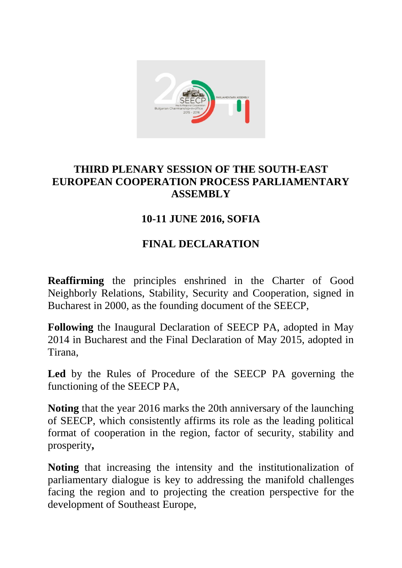

## **THIRD PLENARY SESSION OF THE SOUTH-EAST EUROPEAN COOPERATION PROCESS PARLIAMENTARY ASSEMBLY**

## **10-11 JUNE 2016, SOFIA**

## **FINAL DECLARATION**

**Reaffirming** the principles enshrined in the Charter of Good Neighborly Relations, Stability, Security and Cooperation, signed in Bucharest in 2000, as the founding document of the SEECP,

**Following** the Inaugural Declaration of SEECP PA, adopted in May 2014 in Bucharest and the Final Declaration of May 2015, adopted in Tirana,

**Led** by the Rules of Procedure of the SEECP PA governing the functioning of the SEECP PA,

**Noting** that the year 2016 marks the 20th anniversary of the launching of SEECP, which consistently affirms its role as the leading political format of cooperation in the region, factor of security, stability and prosperity**,**

**Noting** that increasing the intensity and the institutionalization of parliamentary dialogue is key to addressing the manifold challenges facing the region and to projecting the creation perspective for the development of Southeast Europe,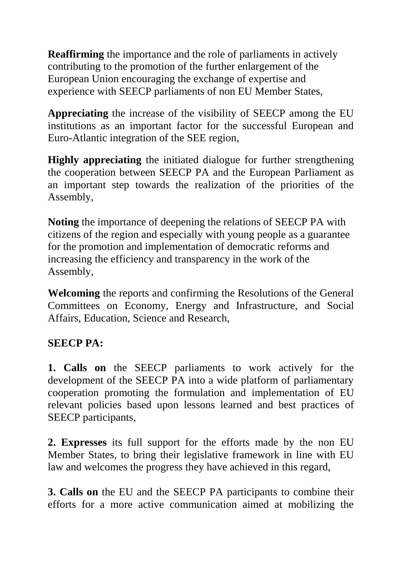**Reaffirming** the importance and the role of parliaments in actively contributing to the promotion of the further enlargement of the European Union encouraging the exchange of expertise and experience with SEECP parliaments of non EU Member States,

**Appreciating** the increase of the visibility of SEECP among the EU institutions as an important factor for the successful European and Euro-Atlantic integration of the SEE region,

**Highly appreciating** the initiated dialogue for further strengthening the cooperation between SEECP PA and the European Parliament as an important step towards the realization of the priorities of the Assembly,

**Noting** the importance of deepening the relations of SEECP PA with citizens of the region and especially with young people as a guarantee for the promotion and implementation of democratic reforms and increasing the efficiency and transparency in the work of the Assembly,

**Welcoming** the reports and confirming the Resolutions of the General Committees on Economy, Energy and Infrastructure, and Social Affairs, Education, Science and Research,

## **SEECP PA:**

**1. Calls on** the SEECP parliaments to work actively for the development of the SEECP PA into a wide platform of parliamentary cooperation promoting the formulation and implementation of EU relevant policies based upon lessons learned and best practices of SEECP participants,

**2. Expresses** its full support for the efforts made by the non EU Member States, to bring their legislative framework in line with EU law and welcomes the progress they have achieved in this regard,

**3. Calls on** the EU and the SEECP PA participants to combine their efforts for a more active communication aimed at mobilizing the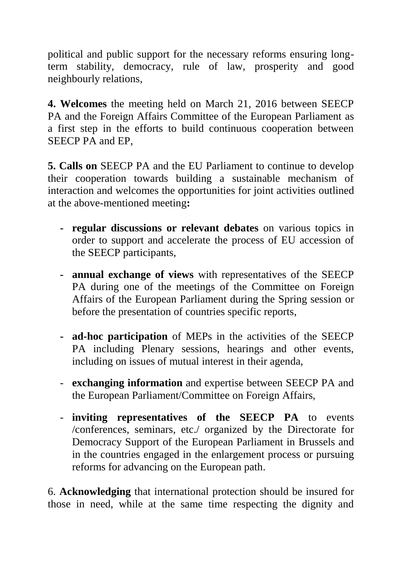political and public support for the necessary reforms ensuring longterm stability, democracy, rule of law, prosperity and good neighbourly relations,

**4. Welcomes** the meeting held on March 21, 2016 between SEECP PA and the Foreign Affairs Committee of the European Parliament as a first step in the efforts to build continuous cooperation between SEECP PA and EP,

**5. Calls on** SEECP PA and the EU Parliament to continue to develop their cooperation towards building a sustainable mechanism of interaction and welcomes the opportunities for joint activities outlined at the above-mentioned meeting**:** 

- **- regular discussions or relevant debates** on various topics in order to support and accelerate the process of EU accession of the SEECP participants,
- **- annual exchange of views** with representatives of the SEECP PA during one of the meetings of the Committee on Foreign Affairs of the European Parliament during the Spring session or before the presentation of countries specific reports,
- **- ad-hoc participation** of MEPs in the activities of the SEECP PA including Plenary sessions, hearings and other events, including on issues of mutual interest in their agenda,
- **exchanging information** and expertise between SEECP PA and the European Parliament/Committee on Foreign Affairs,
- **inviting representatives of the SEECP PA** to events /conferences, seminars, etc./ organized by the Directorate for Democracy Support of the European Parliament in Brussels and in the countries engaged in the enlargement process or pursuing reforms for advancing on the European path.

6. **Acknowledging** that international protection should be insured for those in need, while at the same time respecting the dignity and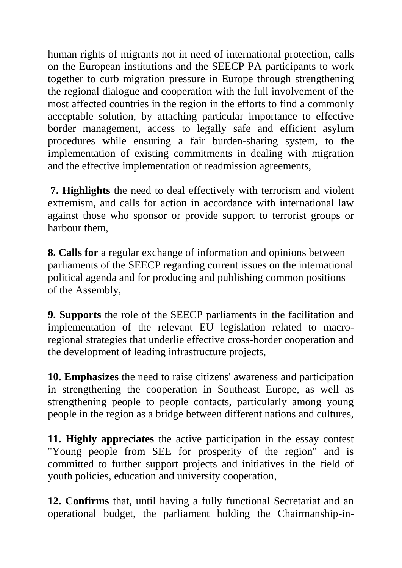human rights of migrants not in need of international protection, calls on the European institutions and the SEECP PA participants to work together to curb migration pressure in Europe through strengthening the regional dialogue and cooperation with the full involvement of the most affected countries in the region in the efforts to find a commonly acceptable solution, by attaching particular importance to effective border management, access to legally safe and efficient asylum procedures while ensuring a fair burden-sharing system, to the implementation of existing commitments in dealing with migration and the effective implementation of readmission agreements,

**7. Highlights** the need to deal effectively with terrorism and violent extremism, and calls for action in accordance with international law against those who sponsor or provide support to terrorist groups or harbour them,

**8. Calls for** a regular exchange of information and opinions between parliaments of the SEECP regarding current issues on the international political agenda and for producing and publishing common positions of the Assembly,

**9. Supports** the role of the SEECP parliaments in the facilitation and implementation of the relevant EU legislation related to macroregional strategies that underlie effective cross-border cooperation and the development of leading infrastructure projects,

**10. Emphasizes** the need to raise citizens' awareness and participation in strengthening the cooperation in Southeast Europe, as well as strengthening people to people contacts, particularly among young people in the region as a bridge between different nations and cultures,

**11. Highly appreciates** the active participation in the essay contest "Young people from SEE for prosperity of the region" and is committed to further support projects and initiatives in the field of youth policies, education and university cooperation,

**12. Confirms** that, until having a fully functional Secretariat and an operational budget, the parliament holding the Chairmanship-in-